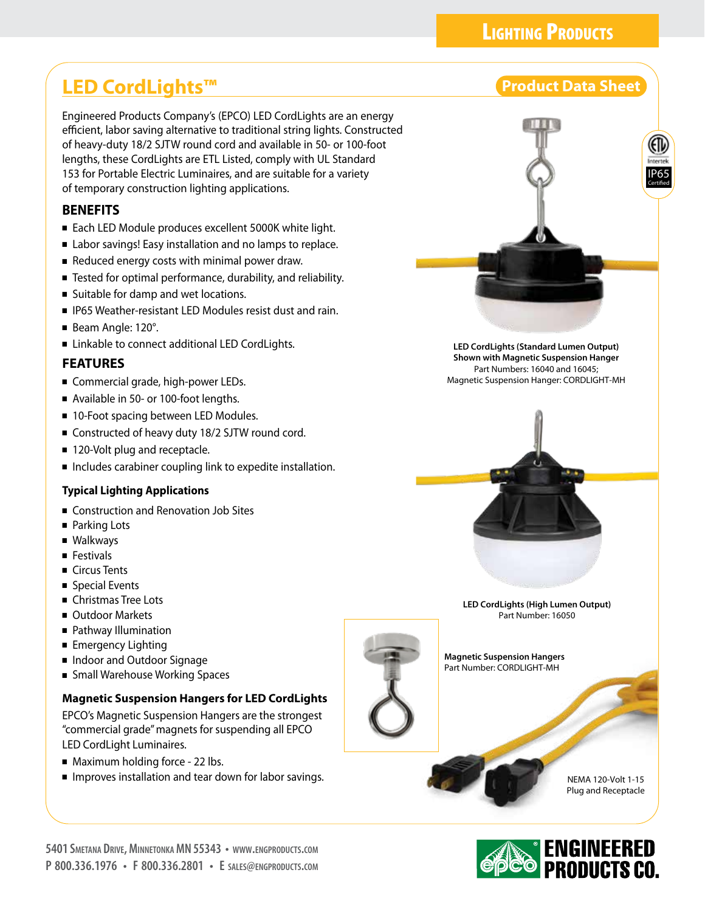## **LIGHTING PRODUCTS**

# **LED CordLights™ Product Data Sheet**

Engineered Products Company's (EPCO) LED CordLights are an energy efficient, labor saving alternative to traditional string lights. Constructed of heavy-duty 18/2 SJTW round cord and available in 50- or 100-foot lengths, these CordLights are ETL Listed, comply with UL Standard 153 for Portable Electric Luminaires, and are suitable for a variety of temporary construction lighting applications.

### **BENEFITS**

- Each LED Module produces excellent 5000K white light.
- Labor savings! Easy installation and no lamps to replace.
- Reduced energy costs with minimal power draw.
- Tested for optimal performance, durability, and reliability.
- Suitable for damp and wet locations.
- IP65 Weather-resistant LED Modules resist dust and rain.
- Beam Angle: 120°.
- Linkable to connect additional LED CordLights.

### **FEATURES**

- Commercial grade, high-power LEDs.
- Available in 50- or 100-foot lengths.
- 10-Foot spacing between LED Modules.
- Constructed of heavy duty 18/2 SJTW round cord.
- 120-Volt plug and receptacle.
- Includes carabiner coupling link to expedite installation.

#### **Typical Lighting Applications**

- Construction and Renovation Job Sites
- Parking Lots
- Walkways
- Festivals
- Circus Tents
- Special Events
- Christmas Tree Lots
- Outdoor Markets
- Pathway Illumination
- Emergency Lighting
- Indoor and Outdoor Signage
- Small Warehouse Working Spaces

#### **Magnetic Suspension Hangers for LED CordLights**

EPCO's Magnetic Suspension Hangers are the strongest "commercial grade" magnets for suspending all EPCO LED CordLight Luminaires.

- Maximum holding force 22 lbs.
- Improves installation and tear down for labor savings.





**Magnetic Suspension Hangers** Part Number: CORDLIGHT-MH

> NEMA 120-Volt 1-15 Plug and Receptacle